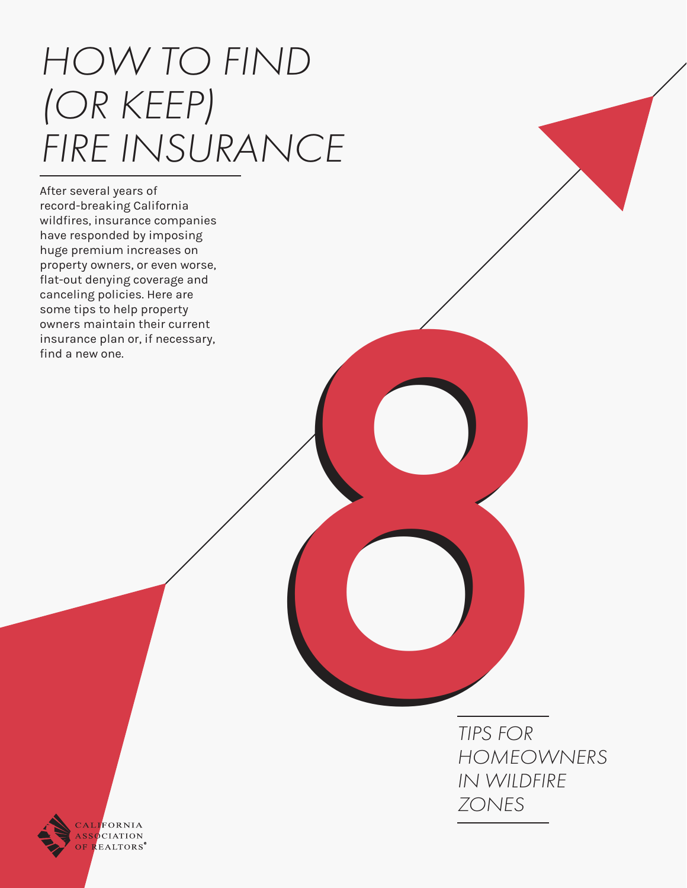# *HOW TO FIND (OR KEEP) FIRE INSURANCE*

After several years of record-breaking California wildfires, insurance companies have responded by imposing huge premium increases on property owners, or even worse, flat-out denying coverage and canceling policies. Here are some tips to help property owners maintain their current insurance plan or, if necessary, find a new one.

*TIPS FOR HOMEOWNERS IN WILDFIRE 8 ZONES*